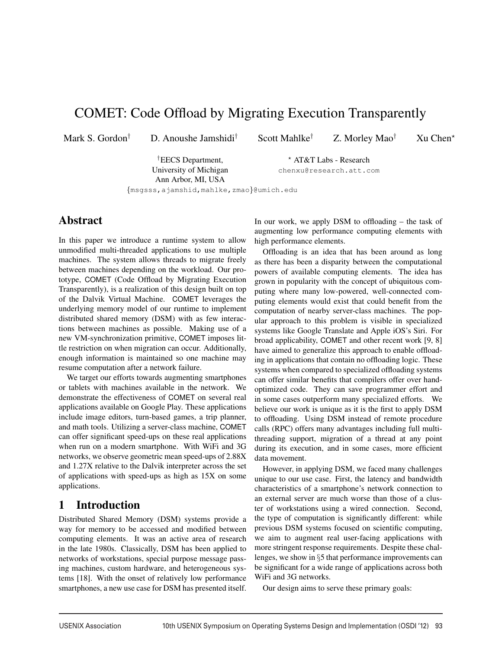# COMET: Code Offload by Migrating Execution Transparently

Mark S. Gordon<sup>†</sup> D. Anoushe Jamshidi<sup>†</sup> Scott Mahlke<sup>†</sup> Z. Morley Mao<sup>†</sup> Xu Chen<sup>\*</sup>

†EECS Department, University of Michigan Ann Arbor, MI, USA

 AT&T Labs - Research chenxu@research.att.com

{msgsss,ajamshid,mahlke,zmao}@umich.edu

# Abstract

In this paper we introduce a runtime system to allow unmodified multi-threaded applications to use multiple machines. The system allows threads to migrate freely between machines depending on the workload. Our prototype, COMET (Code Offload by Migrating Execution Transparently), is a realization of this design built on top of the Dalvik Virtual Machine. COMET leverages the underlying memory model of our runtime to implement distributed shared memory (DSM) with as few interactions between machines as possible. Making use of a new VM-synchronization primitive, COMET imposes little restriction on when migration can occur. Additionally, enough information is maintained so one machine may resume computation after a network failure.

We target our efforts towards augmenting smartphones or tablets with machines available in the network. We demonstrate the effectiveness of COMET on several real applications available on Google Play. These applications include image editors, turn-based games, a trip planner, and math tools. Utilizing a server-class machine, COMET can offer significant speed-ups on these real applications when run on a modern smartphone. With WiFi and 3G networks, we observe geometric mean speed-ups of 2.88X and 1.27X relative to the Dalvik interpreter across the set of applications with speed-ups as high as 15X on some applications.

# 1 Introduction

Distributed Shared Memory (DSM) systems provide a way for memory to be accessed and modified between computing elements. It was an active area of research in the late 1980s. Classically, DSM has been applied to networks of workstations, special purpose message passing machines, custom hardware, and heterogeneous systems [18]. With the onset of relatively low performance smartphones, a new use case for DSM has presented itself.

In our work, we apply DSM to offloading – the task of augmenting low performance computing elements with high performance elements.

Offloading is an idea that has been around as long as there has been a disparity between the computational powers of available computing elements. The idea has grown in popularity with the concept of ubiquitous computing where many low-powered, well-connected computing elements would exist that could benefit from the computation of nearby server-class machines. The popular approach to this problem is visible in specialized systems like Google Translate and Apple iOS's Siri. For broad applicability, COMET and other recent work [9, 8] have aimed to generalize this approach to enable offloading in applications that contain no offloading logic. These systems when compared to specialized offloading systems can offer similar benefits that compilers offer over handoptimized code. They can save programmer effort and in some cases outperform many specialized efforts. We believe our work is unique as it is the first to apply DSM to offloading. Using DSM instead of remote procedure calls (RPC) offers many advantages including full multithreading support, migration of a thread at any point during its execution, and in some cases, more efficient data movement.

However, in applying DSM, we faced many challenges unique to our use case. First, the latency and bandwidth characteristics of a smartphone's network connection to an external server are much worse than those of a cluster of workstations using a wired connection. Second, the type of computation is significantly different: while previous DSM systems focused on scientific computing, we aim to augment real user-facing applications with more stringent response requirements. Despite these challenges, we show in §5 that performance improvements can be significant for a wide range of applications across both WiFi and 3G networks.

Our design aims to serve these primary goals:

1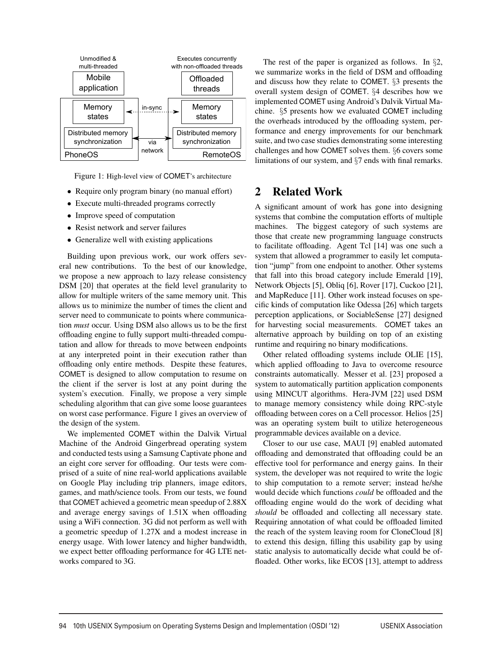

Figure 1: High-level view of COMET's architecture

- Require only program binary (no manual effort)
- Execute multi-threaded programs correctly
- Improve speed of computation
- Resist network and server failures
- Generalize well with existing applications

Building upon previous work, our work offers several new contributions. To the best of our knowledge, we propose a new approach to lazy release consistency DSM [20] that operates at the field level granularity to allow for multiple writers of the same memory unit. This allows us to minimize the number of times the client and server need to communicate to points where communication *must* occur. Using DSM also allows us to be the first offloading engine to fully support multi-threaded computation and allow for threads to move between endpoints at any interpreted point in their execution rather than offloading only entire methods. Despite these features, COMET is designed to allow computation to resume on the client if the server is lost at any point during the system's execution. Finally, we propose a very simple scheduling algorithm that can give some loose guarantees on worst case performance. Figure 1 gives an overview of the design of the system.

We implemented COMET within the Dalvik Virtual Machine of the Android Gingerbread operating system and conducted tests using a Samsung Captivate phone and an eight core server for offloading. Our tests were comprised of a suite of nine real-world applications available on Google Play including trip planners, image editors, games, and math/science tools. From our tests, we found that COMET achieved a geometric mean speedup of 2.88X and average energy savings of 1.51X when offloading using a WiFi connection. 3G did not perform as well with a geometric speedup of 1.27X and a modest increase in energy usage. With lower latency and higher bandwidth, we expect better offloading performance for 4G LTE networks compared to 3G.

The rest of the paper is organized as follows. In §2, we summarize works in the field of DSM and offloading and discuss how they relate to COMET. §3 presents the overall system design of COMET. §4 describes how we implemented COMET using Android's Dalvik Virtual Machine. §5 presents how we evaluated COMET including the overheads introduced by the offloading system, performance and energy improvements for our benchmark suite, and two case studies demonstrating some interesting challenges and how COMET solves them. §6 covers some limitations of our system, and §7 ends with final remarks.

### 2 Related Work

A significant amount of work has gone into designing systems that combine the computation efforts of multiple machines. The biggest category of such systems are those that create new programming language constructs to facilitate offloading. Agent Tcl [14] was one such a system that allowed a programmer to easily let computation "jump" from one endpoint to another. Other systems that fall into this broad category include Emerald [19], Network Objects [5], Obliq [6], Rover [17], Cuckoo [21], and MapReduce [11]. Other work instead focuses on specific kinds of computation like Odessa [26] which targets perception applications, or SociableSense [27] designed for harvesting social measurements. COMET takes an alternative approach by building on top of an existing runtime and requiring no binary modifications.

Other related offloading systems include OLIE [15], which applied offloading to Java to overcome resource constraints automatically. Messer et al. [23] proposed a system to automatically partition application components using MINCUT algorithms. Hera-JVM [22] used DSM to manage memory consistency while doing RPC-style offloading between cores on a Cell processor. Helios [25] was an operating system built to utilize heterogeneous programmable devices available on a device.

Closer to our use case, MAUI [9] enabled automated offloading and demonstrated that offloading could be an effective tool for performance and energy gains. In their system, the developer was not required to write the logic to ship computation to a remote server; instead he/she would decide which functions *could* be offloaded and the offloading engine would do the work of deciding what *should* be offloaded and collecting all necessary state. Requiring annotation of what could be offloaded limited the reach of the system leaving room for CloneCloud [8] to extend this design, filling this usability gap by using static analysis to automatically decide what could be offloaded. Other works, like ECOS [13], attempt to address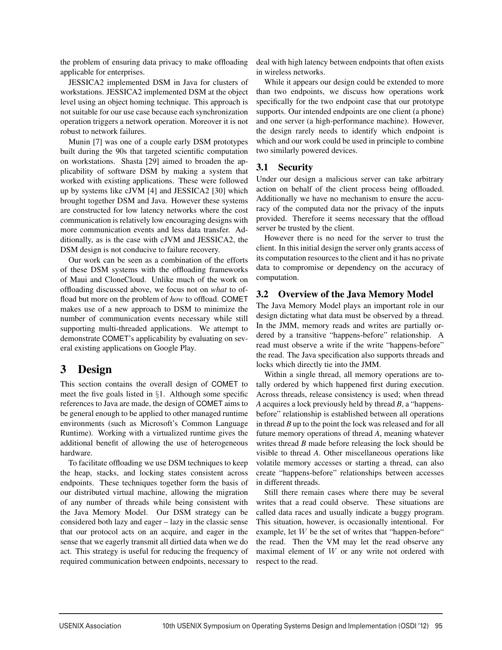the problem of ensuring data privacy to make offloading applicable for enterprises.

JESSICA2 implemented DSM in Java for clusters of workstations. JESSICA2 implemented DSM at the object level using an object homing technique. This approach is not suitable for our use case because each synchronization operation triggers a network operation. Moreover it is not robust to network failures.

Munin [7] was one of a couple early DSM prototypes built during the 90s that targeted scientific computation on workstations. Shasta [29] aimed to broaden the applicability of software DSM by making a system that worked with existing applications. These were followed up by systems like cJVM [4] and JESSICA2 [30] which brought together DSM and Java. However these systems are constructed for low latency networks where the cost communication is relatively low encouraging designs with more communication events and less data transfer. Additionally, as is the case with cJVM and JESSICA2, the DSM design is not conducive to failure recovery.

Our work can be seen as a combination of the efforts of these DSM systems with the offloading frameworks of Maui and CloneCloud. Unlike much of the work on offloading discussed above, we focus not on *what* to offload but more on the problem of *how* to offload. COMET makes use of a new approach to DSM to minimize the number of communication events necessary while still supporting multi-threaded applications. We attempt to demonstrate COMET's applicability by evaluating on several existing applications on Google Play.

# 3 Design

This section contains the overall design of COMET to meet the five goals listed in  $\S$ 1. Although some specific references to Java are made, the design of COMET aims to be general enough to be applied to other managed runtime environments (such as Microsoft's Common Language Runtime). Working with a virtualized runtime gives the additional benefit of allowing the use of heterogeneous hardware.

To facilitate offloading we use DSM techniques to keep the heap, stacks, and locking states consistent across endpoints. These techniques together form the basis of our distributed virtual machine, allowing the migration of any number of threads while being consistent with the Java Memory Model. Our DSM strategy can be considered both lazy and eager – lazy in the classic sense that our protocol acts on an acquire, and eager in the sense that we eagerly transmit all dirtied data when we do act. This strategy is useful for reducing the frequency of required communication between endpoints, necessary to deal with high latency between endpoints that often exists in wireless networks.

While it appears our design could be extended to more than two endpoints, we discuss how operations work specifically for the two endpoint case that our prototype supports. Our intended endpoints are one client (a phone) and one server (a high-performance machine). However, the design rarely needs to identify which endpoint is which and our work could be used in principle to combine two similarly powered devices.

# 3.1 Security

Under our design a malicious server can take arbitrary action on behalf of the client process being offloaded. Additionally we have no mechanism to ensure the accuracy of the computed data nor the privacy of the inputs provided. Therefore it seems necessary that the offload server be trusted by the client.

However there is no need for the server to trust the client. In this initial design the server only grants access of its computation resources to the client and it has no private data to compromise or dependency on the accuracy of computation.

# 3.2 Overview of the Java Memory Model

The Java Memory Model plays an important role in our design dictating what data must be observed by a thread. In the JMM, memory reads and writes are partially ordered by a transitive "happens-before" relationship. A read must observe a write if the write "happens-before" the read. The Java specification also supports threads and locks which directly tie into the JMM.

Within a single thread, all memory operations are totally ordered by which happened first during execution. Across threads, release consistency is used; when thread *A* acquires a lock previously held by thread *B*, a "happensbefore" relationship is established between all operations in thread *B* up to the point the lock was released and for all future memory operations of thread *A*, meaning whatever writes thread *B* made before releasing the lock should be visible to thread *A*. Other miscellaneous operations like volatile memory accesses or starting a thread, can also create "happens-before" relationships between accesses in different threads.

Still there remain cases where there may be several writes that a read could observe. These situations are called data races and usually indicate a buggy program. This situation, however, is occasionally intentional. For example, let  $W$  be the set of writes that "happen-before" the read. Then the VM may let the read observe any maximal element of  $W$  or any write not ordered with respect to the read.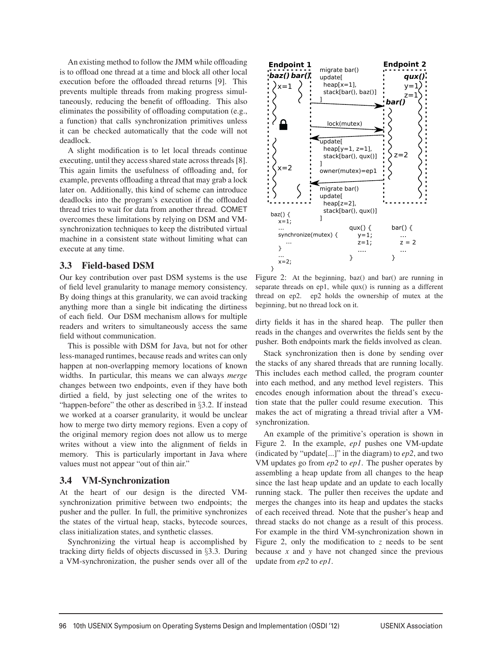An existing method to follow the JMM while offloading is to offload one thread at a time and block all other local execution before the offloaded thread returns [9]. This prevents multiple threads from making progress simultaneously, reducing the benefit of offloading. This also eliminates the possibility of offloading computation (e.g., a function) that calls synchronization primitives unless it can be checked automatically that the code will not deadlock.

A slight modification is to let local threads continue executing, until they access shared state across threads [8]. This again limits the usefulness of offloading and, for example, prevents offloading a thread that may grab a lock later on. Additionally, this kind of scheme can introduce deadlocks into the program's execution if the offloaded thread tries to wait for data from another thread. COMET overcomes these limitations by relying on DSM and VMsynchronization techniques to keep the distributed virtual machine in a consistent state without limiting what can execute at any time.

#### 3.3 Field-based DSM

Our key contribution over past DSM systems is the use of field level granularity to manage memory consistency. By doing things at this granularity, we can avoid tracking anything more than a single bit indicating the dirtiness of each field. Our DSM mechanism allows for multiple readers and writers to simultaneously access the same field without communication.

This is possible with DSM for Java, but not for other less-managed runtimes, because reads and writes can only happen at non-overlapping memory locations of known widths. In particular, this means we can always *merge* changes between two endpoints, even if they have both dirtied a field, by just selecting one of the writes to "happen-before" the other as described in §3.2. If instead we worked at a coarser granularity, it would be unclear how to merge two dirty memory regions. Even a copy of the original memory region does not allow us to merge writes without a view into the alignment of fields in memory. This is particularly important in Java where values must not appear "out of thin air."

#### 3.4 VM-Synchronization

At the heart of our design is the directed VMsynchronization primitive between two endpoints; the pusher and the puller. In full, the primitive synchronizes the states of the virtual heap, stacks, bytecode sources, class initialization states, and synthetic classes.

Synchronizing the virtual heap is accomplished by tracking dirty fields of objects discussed in §3.3. During a VM-synchronization, the pusher sends over all of the



Figure 2: At the beginning, baz() and bar() are running in separate threads on ep1, while qux() is running as a different thread on ep2. ep2 holds the ownership of mutex at the beginning, but no thread lock on it.

dirty fields it has in the shared heap. The puller then reads in the changes and overwrites the fields sent by the pusher. Both endpoints mark the fields involved as clean.

Stack synchronization then is done by sending over the stacks of any shared threads that are running locally. This includes each method called, the program counter into each method, and any method level registers. This encodes enough information about the thread's execution state that the puller could resume execution. This makes the act of migrating a thread trivial after a VMsynchronization.

An example of the primitive's operation is shown in Figure 2. In the example, *ep1* pushes one VM-update (indicated by "update[...]" in the diagram) to *ep2*, and two VM updates go from *ep2* to *ep1*. The pusher operates by assembling a heap update from all changes to the heap since the last heap update and an update to each locally running stack. The puller then receives the update and merges the changes into its heap and updates the stacks of each received thread. Note that the pusher's heap and thread stacks do not change as a result of this process. For example in the third VM-synchronization shown in Figure 2, only the modification to *z* needs to be sent because *x* and *y* have not changed since the previous update from *ep2* to *ep1*.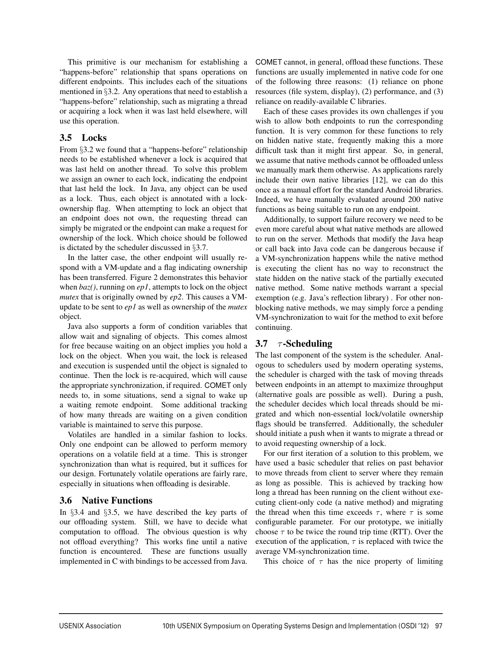This primitive is our mechanism for establishing a "happens-before" relationship that spans operations on different endpoints. This includes each of the situations mentioned in §3.2. Any operations that need to establish a "happens-before" relationship, such as migrating a thread or acquiring a lock when it was last held elsewhere, will use this operation.

#### 3.5 Locks

From §3.2 we found that a "happens-before" relationship needs to be established whenever a lock is acquired that was last held on another thread. To solve this problem we assign an owner to each lock, indicating the endpoint that last held the lock. In Java, any object can be used as a lock. Thus, each object is annotated with a lockownership flag. When attempting to lock an object that an endpoint does not own, the requesting thread can simply be migrated or the endpoint can make a request for ownership of the lock. Which choice should be followed is dictated by the scheduler discussed in §3.7.

In the latter case, the other endpoint will usually respond with a VM-update and a flag indicating ownership has been transferred. Figure 2 demonstrates this behavior when *baz()*, running on *ep1*, attempts to lock on the object *mutex* that is originally owned by *ep2*. This causes a VMupdate to be sent to *ep1* as well as ownership of the *mutex* object.

Java also supports a form of condition variables that allow wait and signaling of objects. This comes almost for free because waiting on an object implies you hold a lock on the object. When you wait, the lock is released and execution is suspended until the object is signaled to continue. Then the lock is re-acquired, which will cause the appropriate synchronization, if required. COMET only needs to, in some situations, send a signal to wake up a waiting remote endpoint. Some additional tracking of how many threads are waiting on a given condition variable is maintained to serve this purpose.

Volatiles are handled in a similar fashion to locks. Only one endpoint can be allowed to perform memory operations on a volatile field at a time. This is stronger synchronization than what is required, but it suffices for our design. Fortunately volatile operations are fairly rare, especially in situations when offloading is desirable.

#### 3.6 Native Functions

In §3.4 and §3.5, we have described the key parts of our offloading system. Still, we have to decide what computation to offload. The obvious question is why not offload everything? This works fine until a native function is encountered. These are functions usually implemented in C with bindings to be accessed from Java.

COMET cannot, in general, offload these functions. These functions are usually implemented in native code for one of the following three reasons: (1) reliance on phone resources (file system, display), (2) performance, and (3) reliance on readily-available C libraries.

Each of these cases provides its own challenges if you wish to allow both endpoints to run the corresponding function. It is very common for these functions to rely on hidden native state, frequently making this a more difficult task than it might first appear. So, in general, we assume that native methods cannot be offloaded unless we manually mark them otherwise. As applications rarely include their own native libraries [12], we can do this once as a manual effort for the standard Android libraries. Indeed, we have manually evaluated around 200 native functions as being suitable to run on any endpoint.

Additionally, to support failure recovery we need to be even more careful about what native methods are allowed to run on the server. Methods that modify the Java heap or call back into Java code can be dangerous because if a VM-synchronization happens while the native method is executing the client has no way to reconstruct the state hidden on the native stack of the partially executed native method. Some native methods warrant a special exemption (e.g. Java's reflection library) . For other nonblocking native methods, we may simply force a pending VM-synchronization to wait for the method to exit before continuing.

# 3.7  $\tau$ -Scheduling

The last component of the system is the scheduler. Analogous to schedulers used by modern operating systems, the scheduler is charged with the task of moving threads between endpoints in an attempt to maximize throughput (alternative goals are possible as well). During a push, the scheduler decides which local threads should be migrated and which non-essential lock/volatile ownership flags should be transferred. Additionally, the scheduler should initiate a push when it wants to migrate a thread or to avoid requesting ownership of a lock.

For our first iteration of a solution to this problem, we have used a basic scheduler that relies on past behavior to move threads from client to server where they remain as long as possible. This is achieved by tracking how long a thread has been running on the client without executing client-only code (a native method) and migrating the thread when this time exceeds  $\tau$ , where  $\tau$  is some configurable parameter. For our prototype, we initially choose  $\tau$  to be twice the round trip time (RTT). Over the execution of the application,  $\tau$  is replaced with twice the average VM-synchronization time.

This choice of  $\tau$  has the nice property of limiting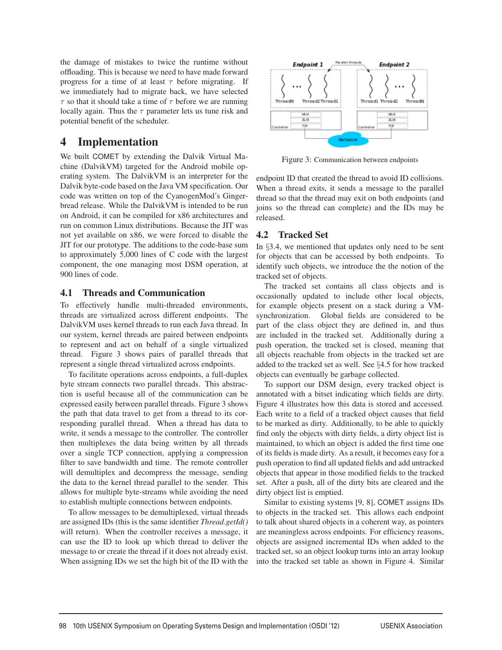the damage of mistakes to twice the runtime without offloading. This is because we need to have made forward progress for a time of at least  $\tau$  before migrating. If we immediately had to migrate back, we have selected  $\tau$  so that it should take a time of  $\tau$  before we are running locally again. Thus the  $\tau$  parameter lets us tune risk and potential benefit of the scheduler.

# 4 Implementation

We built COMET by extending the Dalvik Virtual Machine (DalvikVM) targeted for the Android mobile operating system. The DalvikVM is an interpreter for the Dalvik byte-code based on the Java VM specification. Our code was written on top of the CyanogenMod's Gingerbread release. While the DalvikVM is intended to be run on Android, it can be compiled for x86 architectures and run on common Linux distributions. Because the JIT was not yet available on x86, we were forced to disable the JIT for our prototype. The additions to the code-base sum to approximately 5,000 lines of C code with the largest component, the one managing most DSM operation, at 900 lines of code.

### 4.1 Threads and Communication

To effectively handle multi-threaded environments, threads are virtualized across different endpoints. The DalvikVM uses kernel threads to run each Java thread. In our system, kernel threads are paired between endpoints to represent and act on behalf of a single virtualized thread. Figure 3 shows pairs of parallel threads that represent a single thread virtualized across endpoints.

To facilitate operations across endpoints, a full-duplex byte stream connects two parallel threads. This abstraction is useful because all of the communication can be expressed easily between parallel threads. Figure 3 shows the path that data travel to get from a thread to its corresponding parallel thread. When a thread has data to write, it sends a message to the controller. The controller then multiplexes the data being written by all threads over a single TCP connection, applying a compression filter to save bandwidth and time. The remote controller will demultiplex and decompress the message, sending the data to the kernel thread parallel to the sender. This allows for multiple byte-streams while avoiding the need to establish multiple connections between endpoints.

To allow messages to be demultiplexed, virtual threads are assigned IDs (this is the same identifier *Thread.getId()* will return). When the controller receives a message, it can use the ID to look up which thread to deliver the message to or create the thread if it does not already exist. When assigning IDs we set the high bit of the ID with the



Figure 3: Communication between endpoints

endpoint ID that created the thread to avoid ID collisions. When a thread exits, it sends a message to the parallel thread so that the thread may exit on both endpoints (and joins so the thread can complete) and the IDs may be released.

## 4.2 Tracked Set

In §3.4, we mentioned that updates only need to be sent for objects that can be accessed by both endpoints. To identify such objects, we introduce the the notion of the tracked set of objects.

The tracked set contains all class objects and is occasionally updated to include other local objects, for example objects present on a stack during a VMsynchronization. Global fields are considered to be part of the class object they are defined in, and thus are included in the tracked set. Additionally during a push operation, the tracked set is closed, meaning that all objects reachable from objects in the tracked set are added to the tracked set as well. See §4.5 for how tracked objects can eventually be garbage collected.

To support our DSM design, every tracked object is annotated with a bitset indicating which fields are dirty. Figure 4 illustrates how this data is stored and accessed. Each write to a field of a tracked object causes that field to be marked as dirty. Additionally, to be able to quickly find only the objects with dirty fields, a dirty object list is maintained, to which an object is added the first time one of its fields is made dirty. As a result, it becomes easy for a push operation to find all updated fields and add untracked objects that appear in those modified fields to the tracked set. After a push, all of the dirty bits are cleared and the dirty object list is emptied.

Similar to existing systems [9, 8], COMET assigns IDs to objects in the tracked set. This allows each endpoint to talk about shared objects in a coherent way, as pointers are meaningless across endpoints. For efficiency reasons, objects are assigned incremental IDs when added to the tracked set, so an object lookup turns into an array lookup into the tracked set table as shown in Figure 4. Similar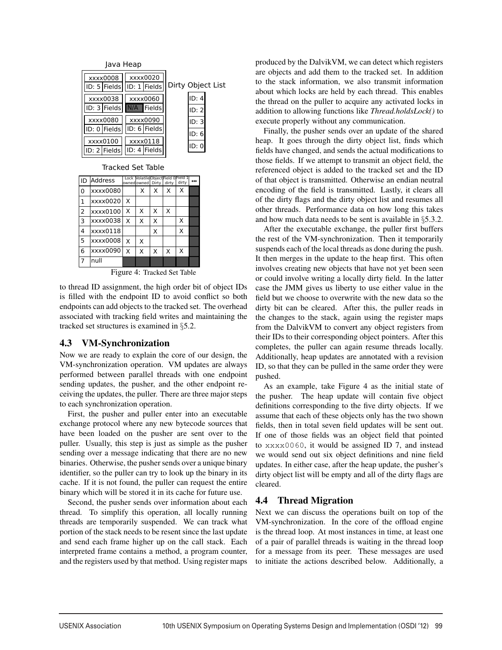| Java Heap    |                                   |                   |
|--------------|-----------------------------------|-------------------|
| 8000xxx      | xxxx0020                          |                   |
|              | ID: 5   Fields     ID: 1   Fields | Dirty Object List |
| xxxx0038     | xxxx0060                          | ID: 4             |
| ID: 3 Fields | <b>Fields</b><br>IN/A             | ID: 2             |
| xxxx0080     | xxxx0090                          | ID: 3             |
|              | ID: 0  Fields  ID: 6  Fields      | ID: 6             |
| xxxx0100     | xxxx0118                          |                   |
|              | ID: 2 Fields   ID: 4 Fields       | ID: 0             |

Tracked Set Table

| ID             | Address  |   | Lock Volatile Object Field 0 Field 1<br>ownedlownedl | Dirty | dirty | dirty |  |
|----------------|----------|---|------------------------------------------------------|-------|-------|-------|--|
| 0              | xxxx0080 |   | x                                                    | Χ     | Χ     | Χ     |  |
| 1              | xxxx0020 | X |                                                      |       |       |       |  |
| $\overline{2}$ | xxxx0100 | X | X                                                    | X     | Χ     |       |  |
| 3              | xxxx0038 | X | X                                                    | X     |       | x     |  |
| 4              | xxxx0118 |   |                                                      | Χ     |       | x     |  |
| 5              | 8000xxxx | X | X                                                    |       |       |       |  |
| 6              | xxxx0090 | X | X                                                    | X     | X     | X     |  |
| 7              | null     |   |                                                      |       |       |       |  |

Figure 4: Tracked Set Table

to thread ID assignment, the high order bit of object IDs is filled with the endpoint ID to avoid conflict so both endpoints can add objects to the tracked set. The overhead associated with tracking field writes and maintaining the tracked set structures is examined in §5.2.

## 4.3 VM-Synchronization

Now we are ready to explain the core of our design, the VM-synchronization operation. VM updates are always performed between parallel threads with one endpoint sending updates, the pusher, and the other endpoint receiving the updates, the puller. There are three major steps to each synchronization operation.

First, the pusher and puller enter into an executable exchange protocol where any new bytecode sources that have been loaded on the pusher are sent over to the puller. Usually, this step is just as simple as the pusher sending over a message indicating that there are no new binaries. Otherwise, the pusher sends over a unique binary identifier, so the puller can try to look up the binary in its cache. If it is not found, the puller can request the entire binary which will be stored it in its cache for future use.

Second, the pusher sends over information about each thread. To simplify this operation, all locally running threads are temporarily suspended. We can track what portion of the stack needs to be resent since the last update and send each frame higher up on the call stack. Each interpreted frame contains a method, a program counter, and the registers used by that method. Using register maps

produced by the DalvikVM, we can detect which registers are objects and add them to the tracked set. In addition to the stack information, we also transmit information about which locks are held by each thread. This enables the thread on the puller to acquire any activated locks in addition to allowing functions like *Thread.holdsLock()* to execute properly without any communication.

Finally, the pusher sends over an update of the shared heap. It goes through the dirty object list, finds which fields have changed, and sends the actual modifications to those fields. If we attempt to transmit an object field, the referenced object is added to the tracked set and the ID of that object is transmitted. Otherwise an endian neutral encoding of the field is transmitted. Lastly, it clears all of the dirty flags and the dirty object list and resumes all other threads. Performance data on how long this takes and how much data needs to be sent is available in §5.3.2.

After the executable exchange, the puller first buffers the rest of the VM-synchronization. Then it temporarily suspends each of the local threads as done during the push. It then merges in the update to the heap first. This often involves creating new objects that have not yet been seen or could involve writing a locally dirty field. In the latter case the JMM gives us liberty to use either value in the field but we choose to overwrite with the new data so the dirty bit can be cleared. After this, the puller reads in the changes to the stack, again using the register maps from the DalvikVM to convert any object registers from their IDs to their corresponding object pointers. After this completes, the puller can again resume threads locally. Additionally, heap updates are annotated with a revision ID, so that they can be pulled in the same order they were pushed.

As an example, take Figure 4 as the initial state of the pusher. The heap update will contain five object definitions corresponding to the five dirty objects. If we assume that each of these objects only has the two shown fields, then in total seven field updates will be sent out. If one of those fields was an object field that pointed to xxxx0060, it would be assigned ID 7, and instead we would send out six object definitions and nine field updates. In either case, after the heap update, the pusher's dirty object list will be empty and all of the dirty flags are cleared.

## 4.4 Thread Migration

Next we can discuss the operations built on top of the VM-synchronization. In the core of the offload engine is the thread loop. At most instances in time, at least one of a pair of parallel threads is waiting in the thread loop for a message from its peer. These messages are used to initiate the actions described below. Additionally, a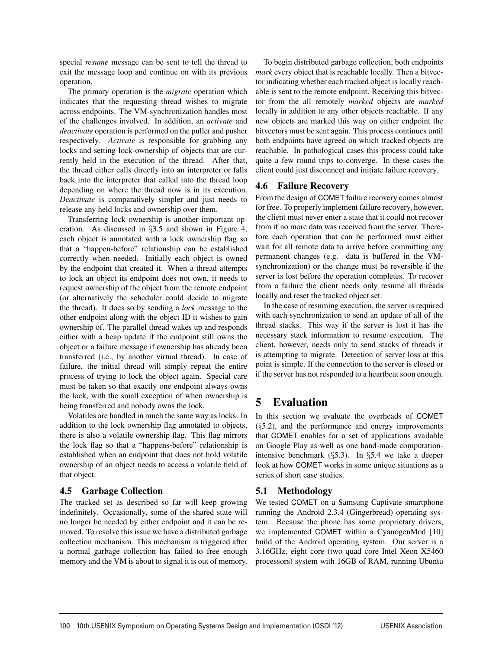special *resume* message can be sent to tell the thread to exit the message loop and continue on with its previous operation.

The primary operation is the *migrate* operation which indicates that the requesting thread wishes to migrate across endpoints. The VM-synchronization handles most of the challenges involved. In addition, an *activate* and *deactivate* operation is performed on the puller and pusher respectively. *Activate* is responsible for grabbing any locks and setting lock-ownership of objects that are currently held in the execution of the thread. After that, the thread either calls directly into an interpreter or falls back into the interpreter that called into the thread loop depending on where the thread now is in its execution. *Deactivate* is comparatively simpler and just needs to release any held locks and ownership over them.

Transferring lock ownership is another important operation. As discussed in §3.5 and shown in Figure 4, each object is annotated with a lock ownership flag so that a "happen-before" relationship can be established correctly when needed. Initially each object is owned by the endpoint that created it. When a thread attempts to lock an object its endpoint does not own, it needs to request ownership of the object from the remote endpoint (or alternatively the scheduler could decide to migrate the thread). It does so by sending a *lock* message to the other endpoint along with the object ID it wishes to gain ownership of. The parallel thread wakes up and responds either with a heap update if the endpoint still owns the object or a failure message if ownership has already been transferred (i.e., by another virtual thread). In case of failure, the initial thread will simply repeat the entire process of trying to lock the object again. Special care must be taken so that exactly one endpoint always owns the lock, with the small exception of when ownership is being transferred and nobody owns the lock.

Volatiles are handled in much the same way as locks. In addition to the lock ownership flag annotated to objects, there is also a volatile ownership flag. This flag mirrors the lock flag so that a "happens-before" relationship is established when an endpoint that does not hold volatile ownership of an object needs to access a volatile field of that object.

#### 4.5 Garbage Collection

The tracked set as described so far will keep growing indefinitely. Occasionally, some of the shared state will no longer be needed by either endpoint and it can be removed. To resolve this issue we have a distributed garbage collection mechanism. This mechanism is triggered after a normal garbage collection has failed to free enough memory and the VM is about to signal it is out of memory.

To begin distributed garbage collection, both endpoints *mark* every object that is reachable locally. Then a bitvector indicating whether each tracked object is locally reachable is sent to the remote endpoint. Receiving this bitvector from the all remotely *marked* objects are *marked* locally in addition to any other objects reachable. If any new objects are marked this way on either endpoint the bitvectors must be sent again. This process continues until both endpoints have agreed on which tracked objects are reachable. In pathological cases this process could take quite a few round trips to converge. In these cases the client could just disconnect and initiate failure recovery.

## 4.6 Failure Recovery

From the design of COMET failure recovery comes almost for free. To properly implement failure recovery, however, the client must never enter a state that it could not recover from if no more data was received from the server. Therefore each operation that can be performed must either wait for all remote data to arrive before committing any permanent changes (e.g. data is buffered in the VMsynchronization) or the change must be reversible if the server is lost before the operation completes. To recover from a failure the client needs only resume all threads locally and reset the tracked object set.

In the case of resuming execution, the server is required with each synchronization to send an update of all of the thread stacks. This way if the server is lost it has the necessary stack information to resume execution. The client, however, needs only to send stacks of threads it is attempting to migrate. Detection of server loss at this point is simple. If the connection to the server is closed or if the server has not responded to a heartbeat soon enough.

# 5 Evaluation

In this section we evaluate the overheads of COMET  $(65.2)$ , and the performance and energy improvements that COMET enables for a set of applications available on Google Play as well as one hand-made computationintensive benchmark (§5.3). In §5.4 we take a deeper look at how COMET works in some unique situations as a series of short case studies.

## 5.1 Methodology

We tested COMET on a Samsung Captivate smartphone running the Android 2.3.4 (Gingerbread) operating system. Because the phone has some proprietary drivers, we implemented COMET within a CyanogenMod [10] build of the Android operating system. Our server is a 3.16GHz, eight core (two quad core Intel Xeon X5460 processors) system with 16GB of RAM, running Ubuntu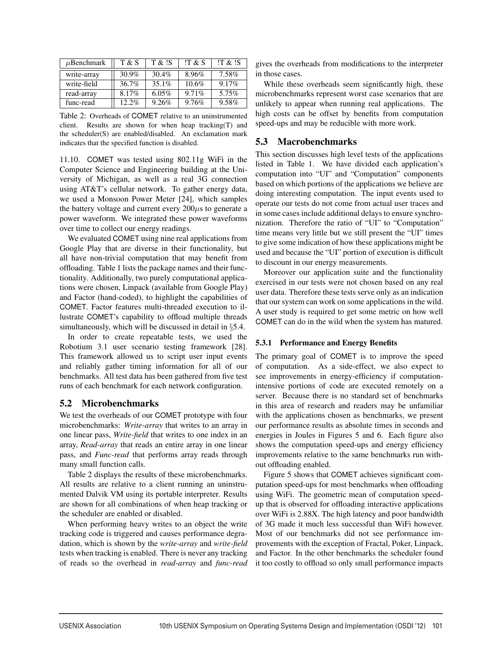| $\mu$ Benchmark | T & S    | T & !S   | $!\mathrm{T} \& \mathrm{S}$ | $!\mathrm{T} \& \mathrm{!S}$ |
|-----------------|----------|----------|-----------------------------|------------------------------|
| write-array     | $30.9\%$ | 30.4%    | 8.96%                       | 7.58%                        |
| write-field     | 36.7%    | $35.1\%$ | $10.6\%$                    | $9.17\%$                     |
| read-array      | 8.17%    | $6.05\%$ | 9.71%                       | 5.75%                        |
| func-read       | $12.2\%$ | 9.26%    | 9.76%                       | 9.58%                        |

Table 2: Overheads of COMET relative to an uninstrumented client. Results are shown for when heap tracking(T) and the scheduler(S) are enabled/disabled. An exclamation mark indicates that the specified function is disabled.

11.10. COMET was tested using 802.11g WiFi in the Computer Science and Engineering building at the University of Michigan, as well as a real 3G connection using AT&T's cellular network. To gather energy data, we used a Monsoon Power Meter [24], which samples the battery voltage and current every  $200\mu s$  to generate a power waveform. We integrated these power waveforms over time to collect our energy readings.

We evaluated COMET using nine real applications from Google Play that are diverse in their functionality, but all have non-trivial computation that may benefit from offloading. Table 1 lists the package names and their functionality. Additionally, two purely computational applications were chosen, Linpack (available from Google Play) and Factor (hand-coded), to highlight the capabilities of COMET. Factor features multi-threaded execution to illustrate COMET's capability to offload multiple threads simultaneously, which will be discussed in detail in §5.4.

In order to create repeatable tests, we used the Robotium 3.1 user scenario testing framework [28]. This framework allowed us to script user input events and reliably gather timing information for all of our benchmarks. All test data has been gathered from five test runs of each benchmark for each network configuration.

#### 5.2 Microbenchmarks

We test the overheads of our COMET prototype with four microbenchmarks: *Write-array* that writes to an array in one linear pass, *Write-field* that writes to one index in an array, *Read-array* that reads an entire array in one linear pass, and *Func-read* that performs array reads through many small function calls.

Table 2 displays the results of these microbenchmarks. All results are relative to a client running an uninstrumented Dalvik VM using its portable interpreter. Results are shown for all combinations of when heap tracking or the scheduler are enabled or disabled.

When performing heavy writes to an object the write tracking code is triggered and causes performance degradation, which is shown by the *write-array* and *write-field* tests when tracking is enabled. There is never any tracking of reads so the overhead in *read-array* and *func-read* gives the overheads from modifications to the interpreter in those cases.

While these overheads seem significantly high, these microbenchmarks represent worst case scenarios that are unlikely to appear when running real applications. The high costs can be offset by benefits from computation speed-ups and may be reducible with more work.

# 5.3 Macrobenchmarks

This section discusses high level tests of the applications listed in Table 1. We have divided each application's computation into "UI" and "Computation" components based on which portions of the applications we believe are doing interesting computation. The input events used to operate our tests do not come from actual user traces and in some cases include additional delays to ensure synchronization. Therefore the ratio of "UI" to "Computation" time means very little but we still present the "UI" times to give some indication of how these applications might be used and because the "UI" portion of execution is difficult to discount in our energy measurements.

Moreover our application suite and the functionality exercised in our tests were not chosen based on any real user data. Therefore these tests serve only as an indication that our system can work on some applications in the wild. A user study is required to get some metric on how well COMET can do in the wild when the system has matured.

#### 5.3.1 Performance and Energy Benefits

The primary goal of COMET is to improve the speed of computation. As a side-effect, we also expect to see improvements in energy-efficiency if computationintensive portions of code are executed remotely on a server. Because there is no standard set of benchmarks in this area of research and readers may be unfamiliar with the applications chosen as benchmarks, we present our performance results as absolute times in seconds and energies in Joules in Figures 5 and 6. Each figure also shows the computation speed-ups and energy efficiency improvements relative to the same benchmarks run without offloading enabled.

Figure 5 shows that COMET achieves significant computation speed-ups for most benchmarks when offloading using WiFi. The geometric mean of computation speedup that is observed for offloading interactive applications over WiFi is 2.88X. The high latency and poor bandwidth of 3G made it much less successful than WiFi however. Most of our benchmarks did not see performance improvements with the exception of Fractal, Poker, Linpack, and Factor. In the other benchmarks the scheduler found it too costly to offload so only small performance impacts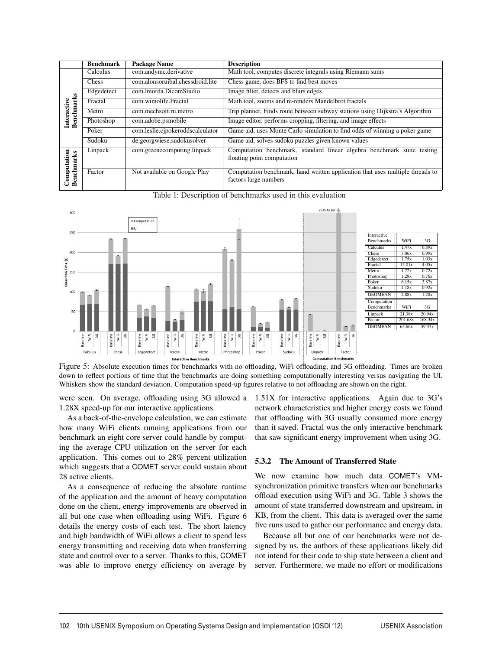|                                  | <b>Benchmark</b> | <b>Package Name</b>              | <b>Description</b>                                                            |  |  |
|----------------------------------|------------------|----------------------------------|-------------------------------------------------------------------------------|--|--|
|                                  | Calculus         | com.andymc.derivative            | Math tool, computes discrete integrals using Riemann sums                     |  |  |
|                                  | <b>Chess</b>     | com.alonsoruibal.chessdroid.lite | Chess game, does BFS to find best moves                                       |  |  |
|                                  | Edgedetect       | com.lmorda.DicomStudio           | Image filter, detects and blurs edges                                         |  |  |
|                                  | Fractal          | com.wimolife.Fractal             | Math tool, zooms and re-renders Mandelbrot fractals                           |  |  |
|                                  | Metro            | com.mechsoft.ru.metro            | Trip planner, Finds route between subway stations using Dijkstra's Algorithm  |  |  |
| <b>Benchmarks</b><br>Interactive | Photoshop        | com.adobe.psmobile               | Image editor, performs cropping, filtering, and image effects                 |  |  |
|                                  | Poker            | com.leslie.cjpokeroddscalculator | Game aid, uses Monte Carlo simulation to find odds of winning a poker game    |  |  |
|                                  | Sudoku           | de.georgwiese.sudokusolver       | Game aid, solves sudoku puzzles given known values                            |  |  |
|                                  | Linpack          | com.greenecomputing.linpack      | Computation benchmark, standard linear algebra benchmark suite testing        |  |  |
| Computation<br><b>Benchmarks</b> |                  |                                  | floating point computation                                                    |  |  |
|                                  | Factor           | Not available on Google Play     | Computation benchmark, hand written application that uses multiple threads to |  |  |
|                                  |                  |                                  | factors large numbers                                                         |  |  |

Table 1: Description of benchmarks used in this evaluation. Table 1: Description of benchmarks used in this evaluation





Figure 5: Absolute execution times for benchmarks with no offloading, WiFi offloading, and 3G offloading. Times are broken down to reflect portions of time that the benchmarks are doing something computationally interesting versus navigating the UI. Whiskers show the standard deviation. Computation speed-up figures relative to not offloading are shown on the right.

were seen. On average, offloading using 3G allowed a 1.28X speed-up for our interactive applications.

As a back-of-the-envelope calculation, we can estimate how many WiFi clients running applications from our benchmark an eight core server could handle by computing the average CPU utilization on the server for each application. This comes out to 28% percent utilization which suggests that a COMET server could sustain about 28 active clients.

As a consequence of reducing the absolute runtime of the application and the amount of heavy computation done on the client, energy improvements are observed in all but one case when offloading using WiFi. Figure 6 details the energy costs of each test. The short latency and high bandwidth of WiFi allows a client to spend less energy transmitting and receiving data when transferring state and control over to a server. Thanks to this, COMET was able to improve energy efficiency on average by

1.51X for interactive applications. Again due to 3G's network characteristics and higher energy costs we found that offloading with 3G usually consumed more energy than it saved. Fractal was the only interactive benchmark that saw significant energy improvement when using 3G.

#### 5.3.2 The Amount of Transferred State

We now examine how much data COMET's VMsynchronization primitive transfers when our benchmarks offload execution using WiFi and 3G. Table 3 shows the amount of state transferred downstream and upstream, in KB, from the client. This data is averaged over the same five runs used to gather our performance and energy data.

Because all but one of our benchmarks were not designed by us, the authors of these applications likely did not intend for their code to ship state between a client and server. Furthermore, we made no effort or modifications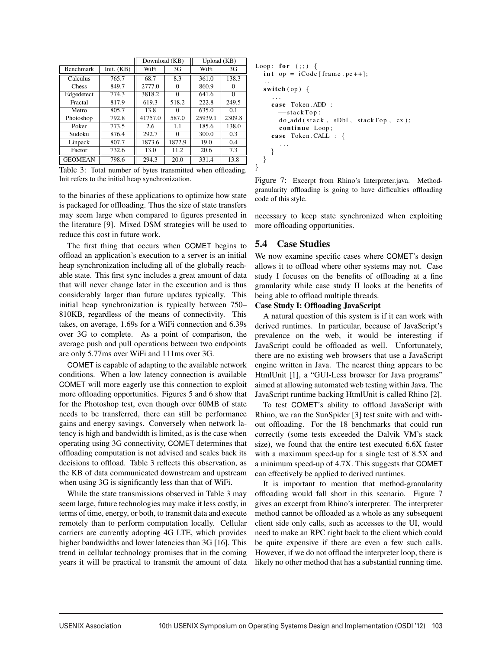|                  |            | Download (KB) |                   | Upload (KB) |          |
|------------------|------------|---------------|-------------------|-------------|----------|
| <b>Benchmark</b> | Init. (KB) | WiFi          | 3 <sub>G</sub>    | WiFi        | 3G       |
| Calculus         | 765.7      | 68.7          | 8.3               | 361.0       | 138.3    |
| Chess            | 849.7      | 2777.0        | 0                 | 860.9       | $\theta$ |
| Edgedetect       | 774.3      | 3818.2        | 0                 | 641.6       | 0        |
| Fractal          | 817.9      | 619.3         | 518.2             | 222.8       | 249.5    |
| Metro            | 805.7      | 13.8          |                   | 635.0       | 0.1      |
| Photoshop        | 792.8      | 41757.0       | 587.0             | 25939.1     | 2309.8   |
| Poker            | 773.5      | 2.6           | 1.1               | 185.6       | 138.0    |
| Sudoku           | 876.4      | 292.7         | $\mathbf{\Omega}$ | 300.0       | 0.3      |
| Linpack          | 807.7      | 1873.6        | 1872.9            | 19.0        | 0.4      |
| Factor           | 732.6      | 13.0          | 11.2              | 20.6        | 7.3      |
| <b>GEOMEAN</b>   | 798.6      | 294.3         | 20.0              | 331.4       | 13.8     |

Table 3: Total number of bytes transmitted when offloading. Init refers to the initial heap synchronization.

to the binaries of these applications to optimize how state is packaged for offloading. Thus the size of state transfers may seem large when compared to figures presented in the literature [9]. Mixed DSM strategies will be used to reduce this cost in future work.

The first thing that occurs when COMET begins to offload an application's execution to a server is an initial heap synchronization including all of the globally reachable state. This first sync includes a great amount of data that will never change later in the execution and is thus considerably larger than future updates typically. This initial heap synchronization is typically between 750– 810KB, regardless of the means of connectivity. This takes, on average, 1.69s for a WiFi connection and 6.39s over 3G to complete. As a point of comparison, the average push and pull operations between two endpoints are only 5.77ms over WiFi and 111ms over 3G.

COMET is capable of adapting to the available network conditions. When a low latency connection is available COMET will more eagerly use this connection to exploit more offloading opportunities. Figures 5 and 6 show that for the Photoshop test, even though over 60MB of state needs to be transferred, there can still be performance gains and energy savings. Conversely when network latency is high and bandwidth is limited, as is the case when operating using 3G connectivity, COMET determines that offloading computation is not advised and scales back its decisions to offload. Table 3 reflects this observation, as the KB of data communicated downstream and upstream when using 3G is significantly less than that of WiFi.

While the state transmissions observed in Table 3 may seem large, future technologies may make it less costly, in terms of time, energy, or both, to transmit data and execute remotely than to perform computation locally. Cellular carriers are currently adopting 4G LTE, which provides higher bandwidths and lower latencies than 3G [16]. This trend in cellular technology promises that in the coming years it will be practical to transmit the amount of data

```
Loop: for (\,;)\, {
  int op = iCode [frame . pc + + ];
   ...
  switch (op) {
     ...
    case Token .ADD :
        −−stackTop ;
       do_add (stack, sDbl, stackTop, cx);
       continue Loop ;
    case Token .CALL : {
        ...
    }
  }
}
```
Figure 7: Excerpt from Rhino's Interpreter.java. Methodgranularity offloading is going to have difficulties offloading code of this style.

necessary to keep state synchronized when exploiting more offloading opportunities.

#### 5.4 Case Studies

We now examine specific cases where COMET's design allows it to offload where other systems may not. Case study I focuses on the benefits of offloading at a fine granularity while case study II looks at the benefits of being able to offload multiple threads.

#### Case Study I: Offloading JavaScript

A natural question of this system is if it can work with derived runtimes. In particular, because of JavaScript's prevalence on the web, it would be interesting if JavaScript could be offloaded as well. Unfortunately, there are no existing web browsers that use a JavaScript engine written in Java. The nearest thing appears to be HtmlUnit [1], a "GUI-Less browser for Java programs" aimed at allowing automated web testing within Java. The JavaScript runtime backing HtmlUnit is called Rhino [2].

To test COMET's ability to offload JavaScript with Rhino, we ran the SunSpider [3] test suite with and without offloading. For the 18 benchmarks that could run correctly (some tests exceeded the Dalvik VM's stack size), we found that the entire test executed 6.6X faster with a maximum speed-up for a single test of 8.5X and a minimum speed-up of 4.7X. This suggests that COMET can effectively be applied to derived runtimes.

It is important to mention that method-granularity offloading would fall short in this scenario. Figure 7 gives an excerpt from Rhino's interpreter. The interpreter method cannot be offloaded as a whole as any subsequent client side only calls, such as accesses to the UI, would need to make an RPC right back to the client which could be quite expensive if there are even a few such calls. However, if we do not offload the interpreter loop, there is likely no other method that has a substantial running time.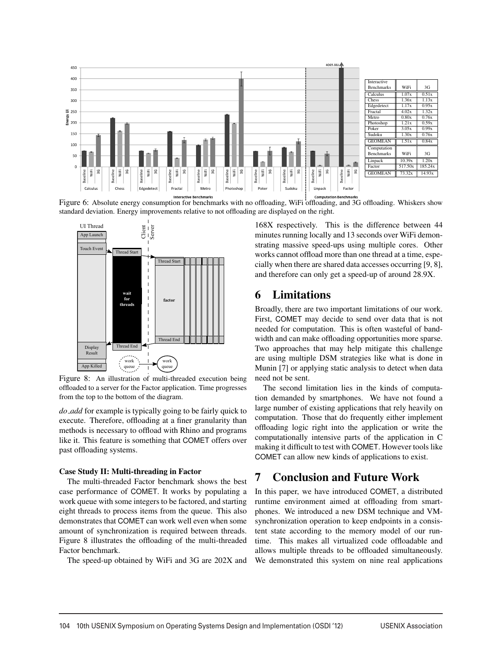

Figure 6: Absolute energy consumption for benchmarks with no offloading, WiFi offloading, and 3G offloading. Whiskers show standard deviation. Energy improvements relative to not offloading are displayed on the right.



Figure 8: An illustration of multi-threaded execution being offloaded to a server for the Factor application. Time progresses from the top to the bottom of the diagram.

*do add* for example is typically going to be fairly quick to execute. Therefore, offloading at a finer granularity than methods is necessary to offload with Rhino and programs like it. This feature is something that COMET offers over past offloading systems.

#### Case Study II: Multi-threading in Factor

The multi-threaded Factor benchmark shows the best case performance of COMET. It works by populating a work queue with some integers to be factored, and starting eight threads to process items from the queue. This also demonstrates that COMET can work well even when some amount of synchronization is required between threads. Figure 8 illustrates the offloading of the multi-threaded Factor benchmark.

The speed-up obtained by WiFi and 3G are 202X and

168X respectively. This is the difference between 44 minutes running locally and 13 seconds over WiFi demonstrating massive speed-ups using multiple cores. Other works cannot offload more than one thread at a time, especially when there are shared data accesses occurring [9, 8], and therefore can only get a speed-up of around 28.9X.

## 6 Limitations

Broadly, there are two important limitations of our work. First, COMET may decide to send over data that is not needed for computation. This is often wasteful of bandwidth and can make offloading opportunities more sparse. Two approaches that may help mitigate this challenge are using multiple DSM strategies like what is done in Munin [7] or applying static analysis to detect when data need not be sent.

The second limitation lies in the kinds of computation demanded by smartphones. We have not found a large number of existing applications that rely heavily on computation. Those that do frequently either implement offloading logic right into the application or write the computationally intensive parts of the application in C making it difficult to test with COMET. However tools like COMET can allow new kinds of applications to exist.

# 7 Conclusion and Future Work

In this paper, we have introduced COMET, a distributed runtime environment aimed at offloading from smartphones. We introduced a new DSM technique and VMsynchronization operation to keep endpoints in a consistent state according to the memory model of our runtime. This makes all virtualized code offloadable and allows multiple threads to be offloaded simultaneously. We demonstrated this system on nine real applications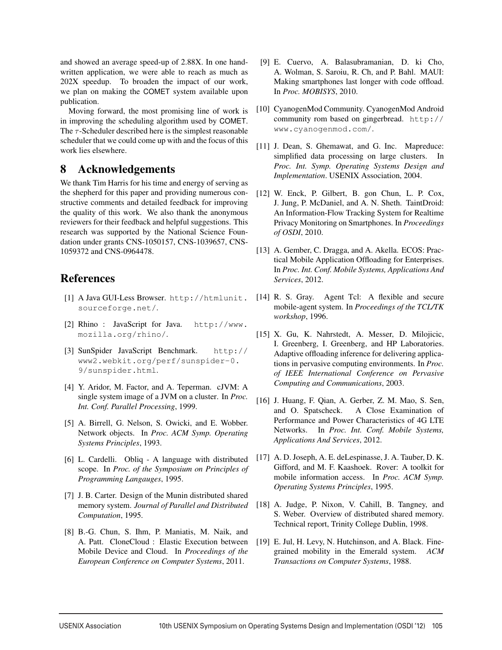and showed an average speed-up of 2.88X. In one handwritten application, we were able to reach as much as 202X speedup. To broaden the impact of our work, we plan on making the COMET system available upon publication.

Moving forward, the most promising line of work is in improving the scheduling algorithm used by COMET. The  $\tau$ -Scheduler described here is the simplest reasonable scheduler that we could come up with and the focus of this work lies elsewhere.

# 8 Acknowledgements

We thank Tim Harris for his time and energy of serving as the shepherd for this paper and providing numerous constructive comments and detailed feedback for improving the quality of this work. We also thank the anonymous reviewers for their feedback and helpful suggestions. This research was supported by the National Science Foundation under grants CNS-1050157, CNS-1039657, CNS-1059372 and CNS-0964478.

# References

- sourceforge.net/.
- [2] Rhino : JavaScript for Java. http://www. mozilla.org/rhino/.
- [3] SunSpider JavaScript Benchmark. http:// www2.webkit.org/perf/sunspider-0. 9/sunspider.html.
- [4] Y. Aridor, M. Factor, and A. Teperman. cJVM: A single system image of a JVM on a cluster. In *Proc. Int. Conf. Parallel Processing*, 1999.
- [5] A. Birrell, G. Nelson, S. Owicki, and E. Wobber. Network objects. In *Proc. ACM Symp. Operating Systems Principles*, 1993.
- [6] L. Cardelli. Obliq A language with distributed scope. In *Proc. of the Symposium on Principles of Programming Langauges*, 1995.
- [7] J. B. Carter. Design of the Munin distributed shared memory system. *Journal of Parallel and Distributed Computation*, 1995.
- [8] B.-G. Chun, S. Ihm, P. Maniatis, M. Naik, and A. Patt. CloneCloud : Elastic Execution between Mobile Device and Cloud. In *Proceedings of the European Conference on Computer Systems*, 2011.
- [9] E. Cuervo, A. Balasubramanian, D. ki Cho, A. Wolman, S. Saroiu, R. Ch, and P. Bahl. MAUI: Making smartphones last longer with code offload. In *Proc. MOBISYS*, 2010.
- [10] CyanogenMod Community. CyanogenMod Android community rom based on gingerbread. http:// www.cyanogenmod.com/.
- [11] J. Dean, S. Ghemawat, and G. Inc. Mapreduce: simplified data processing on large clusters. In *Proc. Int. Symp. Operating Systems Design and Implementation*. USENIX Association, 2004.
- [12] W. Enck, P. Gilbert, B. gon Chun, L. P. Cox, J. Jung, P. McDaniel, and A. N. Sheth. TaintDroid: An Information-Flow Tracking System for Realtime Privacy Monitoring on Smartphones. In *Proceedings of OSDI*, 2010.
- [13] A. Gember, C. Dragga, and A. Akella. ECOS: Practical Mobile Application Offloading for Enterprises. In *Proc. Int. Conf. Mobile Systems, Applications And Services*, 2012.
- [1] A Java GUI-Less Browser. http://htmlunit. [14] R. S. Gray. Agent Tcl: A flexible and secure mobile-agent system. In *Proceedings of the TCL/TK workshop*, 1996.
	- [15] X. Gu, K. Nahrstedt, A. Messer, D. Milojicic, I. Greenberg, I. Greenberg, and HP Laboratories. Adaptive offloading inference for delivering applications in pervasive computing environments. In *Proc. of IEEE International Conference on Pervasive Computing and Communications*, 2003.
	- [16] J. Huang, F. Qian, A. Gerber, Z. M. Mao, S. Sen, and O. Spatscheck. A Close Examination of Performance and Power Characteristics of 4G LTE Networks. In *Proc. Int. Conf. Mobile Systems, Applications And Services*, 2012.
	- [17] A. D. Joseph, A. E. deLespinasse, J. A. Tauber, D. K. Gifford, and M. F. Kaashoek. Rover: A toolkit for mobile information access. In *Proc. ACM Symp. Operating Systems Principles*, 1995.
	- [18] A. Judge, P. Nixon, V. Cahill, B. Tangney, and S. Weber. Overview of distributed shared memory. Technical report, Trinity College Dublin, 1998.
	- [19] E. Jul, H. Levy, N. Hutchinson, and A. Black. Finegrained mobility in the Emerald system. *ACM Transactions on Computer Systems*, 1988.